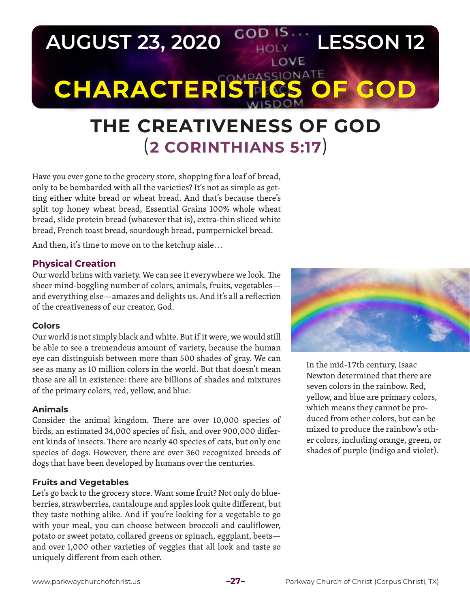

# **THE CREATIVENESS OF GOD** (**2 CORINTHIANS 5:17**)

Have you ever gone to the grocery store, shopping for a loaf of bread, only to be bombarded with all the varieties? It's not as simple as getting either white bread or wheat bread. And that's because there's split top honey wheat bread, Essential Grains 100% whole wheat bread, slide protein bread (whatever that is), extra-thin sliced white bread, French toast bread, sourdough bread, pumpernickel bread.

And then, it's time to move on to the ketchup aisle...

### **Physical Creation**

Our world brims with variety. We can see it everywhere we look. The sheer mind-boggling number of colors, animals, fruits, vegetables and everything else—amazes and delights us. And it's all a reflection of the creativeness of our creator, God.

#### **Colors**

Our world is not simply black and white. But if it were, we would still be able to see a tremendous amount of variety, because the human eye can distinguish between more than 500 shades of gray. We can see as many as 10 million colors in the world. But that doesn't mean those are all in existence: there are billions of shades and mixtures of the primary colors, red, yellow, and blue.

#### **Animals**

Consider the animal kingdom. There are over 10,000 species of birds, an estimated 34,000 species of fish, and over 900,000 different kinds of insects. There are nearly 40 species of cats, but only one species of dogs. However, there are over 360 recognized breeds of dogs that have been developed by humans over the centuries.

#### **Fruits and Vegetables**

Let's go back to the grocery store. Want some fruit? Not only do blueberries, strawberries, cantaloupe and apples look quite different, but they taste nothing alike. And if you're looking for a vegetable to go with your meal, you can choose between broccoli and cauliflower, potato or sweet potato, collared greens or spinach, eggplant, beets and over 1,000 other varieties of veggies that all look and taste so uniquely different from each other.



In the mid-17th century, Isaac Newton determined that there are seven colors in the rainbow. Red, yellow, and blue are primary colors, which means they cannot be produced from other colors, but can be mixed to produce the rainbow's other colors, including orange, green, or shades of purple (indigo and violet).